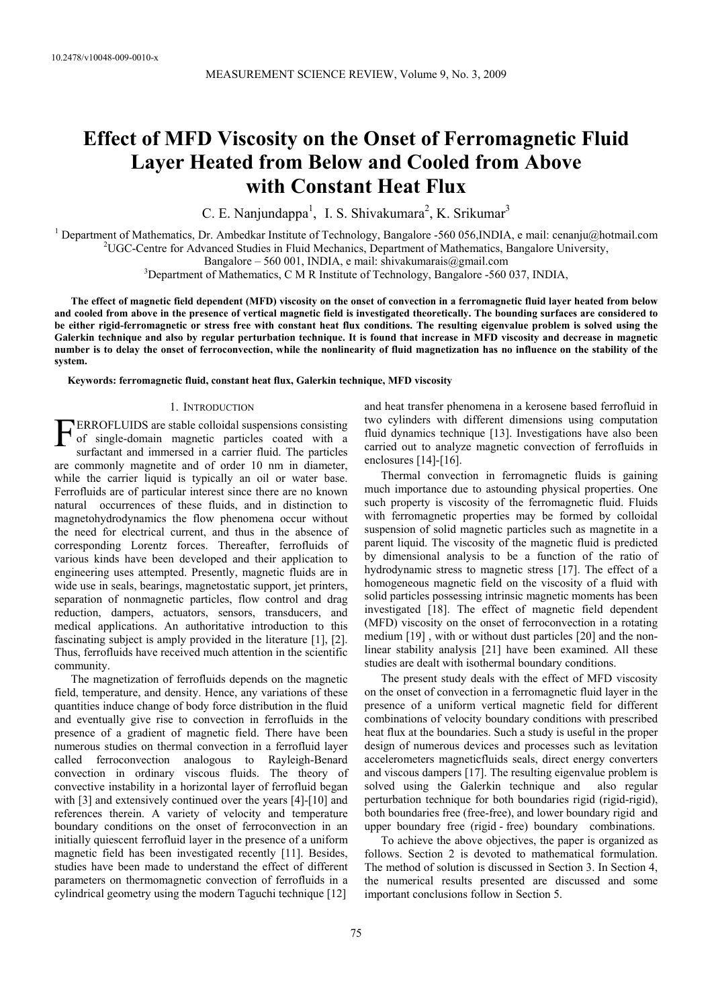# **Effect of MFD Viscosity on the Onset of Ferromagnetic Fluid Layer Heated from Below and Cooled from Above with Constant Heat Flux**

C. E. Nanjundappa<sup>1</sup>, I. S. Shivakumara<sup>2</sup>, K. Srikumar<sup>3</sup>

<sup>1</sup> Department of Mathematics, Dr. Ambedkar Institute of Technology, Bangalore -560 056, INDIA, e mail: cenanju@hotmail.com <sup>2</sup>UGC Contra for Advanced Studies in Eluid Machanics, Department of Mathematics, Bangalore Unive <sup>2</sup>UGC-Centre for Advanced Studies in Fluid Mechanics, Department of Mathematics, Bangalore University,

Bangalore – 560 001, INDIA, e mail: shivakumarais@gmail.com

 $\rm^3$ Department of Mathematics, C M R Institute of Technology, Bangalore -560 037, INDIA,

**The effect of magnetic field dependent (MFD) viscosity on the onset of convection in a ferromagnetic fluid layer heated from below and cooled from above in the presence of vertical magnetic field is investigated theoretically. The bounding surfaces are considered to be either rigid-ferromagnetic or stress free with constant heat flux conditions. The resulting eigenvalue problem is solved using the Galerkin technique and also by regular perturbation technique. It is found that increase in MFD viscosity and decrease in magnetic number is to delay the onset of ferroconvection, while the nonlinearity of fluid magnetization has no influence on the stability of the system.** 

**Keywords: ferromagnetic fluid, constant heat flux, Galerkin technique, MFD viscosity** 

# 1. INTRODUCTION

**ERROFLUIDS** are stable colloidal suspensions consisting<br>of single-domain magnetic particles coated with a<br>surfactant and immersed in a carrier fluid. The particles of single-domain magnetic particles coated with a surfactant and immersed in a carrier fluid. The particles are commonly magnetite and of order 10 nm in diameter, while the carrier liquid is typically an oil or water base. Ferrofluids are of particular interest since there are no known natural occurrences of these fluids, and in distinction to magnetohydrodynamics the flow phenomena occur without the need for electrical current, and thus in the absence of corresponding Lorentz forces. Thereafter, ferrofluids of various kinds have been developed and their application to engineering uses attempted. Presently, magnetic fluids are in wide use in seals, bearings, magnetostatic support, jet printers, separation of nonmagnetic particles, flow control and drag reduction, dampers, actuators, sensors, transducers, and medical applications. An authoritative introduction to this fascinating subject is amply provided in the literature [1], [2]. Thus, ferrofluids have received much attention in the scientific community.

The magnetization of ferrofluids depends on the magnetic field, temperature, and density. Hence, any variations of these quantities induce change of body force distribution in the fluid and eventually give rise to convection in ferrofluids in the presence of a gradient of magnetic field. There have been numerous studies on thermal convection in a ferrofluid layer called ferroconvection analogous to Rayleigh-Benard convection in ordinary viscous fluids. The theory of convective instability in a horizontal layer of ferrofluid began with [3] and extensively continued over the years [4]-[10] and references therein. A variety of velocity and temperature boundary conditions on the onset of ferroconvection in an initially quiescent ferrofluid layer in the presence of a uniform magnetic field has been investigated recently [11]. Besides, studies have been made to understand the effect of different parameters on thermomagnetic convection of ferrofluids in a cylindrical geometry using the modern Taguchi technique [12]

and heat transfer phenomena in a kerosene based ferrofluid in two cylinders with different dimensions using computation fluid dynamics technique [13]. Investigations have also been carried out to analyze magnetic convection of ferrofluids in enclosures [14]-[16].

Thermal convection in ferromagnetic fluids is gaining much importance due to astounding physical properties. One such property is viscosity of the ferromagnetic fluid. Fluids with ferromagnetic properties may be formed by colloidal suspension of solid magnetic particles such as magnetite in a parent liquid. The viscosity of the magnetic fluid is predicted by dimensional analysis to be a function of the ratio of hydrodynamic stress to magnetic stress [17]. The effect of a homogeneous magnetic field on the viscosity of a fluid with solid particles possessing intrinsic magnetic moments has been investigated [18]. The effect of magnetic field dependent (MFD) viscosity on the onset of ferroconvection in a rotating medium [19] , with or without dust particles [20] and the nonlinear stability analysis [21] have been examined. All these studies are dealt with isothermal boundary conditions.

The present study deals with the effect of MFD viscosity on the onset of convection in a ferromagnetic fluid layer in the presence of a uniform vertical magnetic field for different combinations of velocity boundary conditions with prescribed heat flux at the boundaries. Such a study is useful in the proper design of numerous devices and processes such as levitation accelerometers magneticfluids seals, direct energy converters and viscous dampers [17]. The resulting eigenvalue problem is solved using the Galerkin technique and also regular perturbation technique for both boundaries rigid (rigid-rigid), both boundaries free (free-free), and lower boundary rigid and upper boundary free (rigid - free) boundary combinations.

To achieve the above objectives, the paper is organized as follows. Section 2 is devoted to mathematical formulation. The method of solution is discussed in Section 3. In Section 4, the numerical results presented are discussed and some important conclusions follow in Section 5.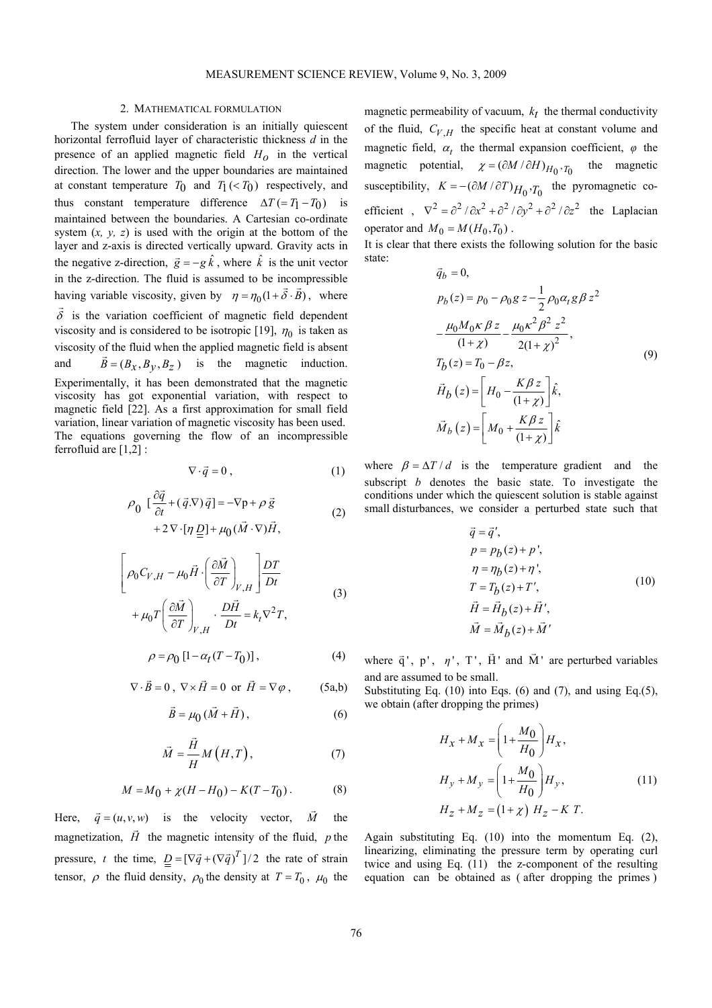# 2. MATHEMATICAL FORMULATION

The system under consideration is an initially quiescent horizontal ferrofluid layer of characteristic thickness *d* in the presence of an applied magnetic field  $H_0$  in the vertical direction. The lower and the upper boundaries are maintained at constant temperature  $T_0$  and  $T_1$  (<  $T_0$ ) respectively, and thus constant temperature difference  $\Delta T = T_1 - T_0$  is maintained between the boundaries. A Cartesian co-ordinate system  $(x, y, z)$  is used with the origin at the bottom of the layer and z-axis is directed vertically upward. Gravity acts in the negative z-direction,  $\vec{g} = -g \hat{k}$ , where  $\hat{k}$  is the unit vector in the z-direction. The fluid is assumed to be incompressible having variable viscosity, given by  $\eta = \eta_0 (1 + \vec{\delta} \cdot \vec{B})$ , where  $\overrightarrow{\delta}$  is the variation coefficient of magnetic field dependent viscosity and is considered to be isotropic [19],  $\eta_0$  is taken as viscosity of the fluid when the applied magnetic field is absent and  $\vec{B} = (B_x, B_y, B_z)$  is the magnetic induction. Experimentally, it has been demonstrated that the magnetic viscosity has got exponential variation, with respect to magnetic field [22]. As a first approximation for small field variation, linear variation of magnetic viscosity has been used. The equations governing the flow of an incompressible ferrofluid are [1,2] :

$$
\nabla \cdot \vec{q} = 0 \tag{1}
$$

$$
\rho_0 \left[ \frac{\partial \vec{q}}{\partial t} + (\vec{q} \cdot \nabla) \vec{q} \right] = -\nabla p + \rho \vec{g} + 2\nabla \cdot [\eta \underline{D}] + \mu_0 (\vec{M} \cdot \nabla) \vec{H},
$$
\n(2)

$$
\left[\rho_0 C_{V,H} - \mu_0 \vec{H} \cdot \left(\frac{\partial \vec{M}}{\partial T}\right)_{V,H} \right] \frac{DT}{Dt} + \mu_0 T \left(\frac{\partial \vec{M}}{\partial T}\right)_{V,H} \cdot \frac{D\vec{H}}{Dt} = k_t \nabla^2 T,
$$
\n(3)

$$
\rho = \rho_0 \left[ 1 - \alpha_t (T - T_0) \right],\tag{4}
$$

$$
\nabla \cdot \vec{B} = 0 \ , \ \nabla \times \vec{H} = 0 \ \text{ or } \ \vec{H} = \nabla \varphi \ , \qquad (5a,b)
$$

$$
\vec{B} = \mu_0 \left( \vec{M} + \vec{H} \right),\tag{6}
$$

$$
\vec{M} = \frac{\vec{H}}{H} M\left(H, T\right),\tag{7}
$$

$$
M = M_0 + \chi (H - H_0) - K(T - T_0).
$$
 (8)

Here,  $\vec{q} = (u, v, w)$  is the velocity vector,  $\vec{M}$ the. magnetization,  $\vec{H}$  the magnetic intensity of the fluid, *p* the pressure, *t* the time,  $D = [\nabla \vec{q} + (\nabla \vec{q})^T]/2$  the rate of strain tensor,  $\rho$  the fluid density,  $\rho_0$  the density at  $T = T_0$ ,  $\mu_0$  the

magnetic permeability of vacuum,  $k_t$  the thermal conductivity of the fluid,  $C_{V,H}$  the specific heat at constant volume and magnetic field,  $\alpha_t$  the thermal expansion coefficient,  $\varphi$  the magnetic potential,  $\chi = (\partial M / \partial H)_{H_0, T_0}$  the magnetic susceptibility,  $K = -(\partial M / \partial T)_{H_0}$ , *T*<sub>0</sub> the pyromagnetic coefficient ,  $\nabla^2 = \frac{\partial^2}{\partial x^2} + \frac{\partial^2}{\partial y^2} + \frac{\partial^2}{\partial z^2}$  the Laplacian operator and  $M_0 = M(H_0, T_0)$ .

It is clear that there exists the following solution for the basic state:  $\vec{a}$ 

$$
\vec{q}_b = 0,
$$
\n
$$
p_b(z) = p_0 - \rho_0 g z - \frac{1}{2} \rho_0 \alpha_t g \beta z^2
$$
\n
$$
-\frac{\mu_0 M_0 \kappa \beta z}{(1 + \chi)} - \frac{\mu_0 \kappa^2 \beta^2 z^2}{2(1 + \chi)^2},
$$
\n
$$
T_b(z) = T_0 - \beta z,
$$
\n
$$
\vec{H}_b(z) = \left[ H_0 - \frac{K \beta z}{(1 + \chi)} \right] \hat{k},
$$
\n
$$
\vec{M}_b(z) = \left[ M_0 + \frac{K \beta z}{(1 + \chi)} \right] \hat{k}
$$
\n(9)

where  $\beta = \Delta T/d$  is the temperature gradient and the subscript *b* denotes the basic state. To investigate the conditions under which the quiescent solution is stable against small disturbances, we consider a perturbed state such that

$$
\vec{q} = \vec{q}',\np = p_b(z) + p',\n\eta = \eta_b(z) + \eta',\nT = T_b(z) + T',\n\vec{H} = \vec{H}_b(z) + \vec{H}',\n\vec{M} = \vec{M}_b(z) + \vec{M}'
$$
\n(10)

where  $\vec{q}$ ', p',  $\eta$ ', T',  $\vec{H}$ ' and  $\vec{M}$ ' are perturbed variables and are assumed to be small.

Substituting Eq. (10) into Eqs. (6) and (7), and using Eq.(5), we obtain (after dropping the primes)

$$
H_x + M_x = \left(1 + \frac{M_0}{H_0}\right) H_x,
$$
  
\n
$$
H_y + M_y = \left(1 + \frac{M_0}{H_0}\right) H_y,
$$
  
\n
$$
H_z + M_z = \left(1 + \chi\right) H_z - K T.
$$
\n(11)

Again substituting Eq. (10) into the momentum Eq. (2), linearizing, eliminating the pressure term by operating curl twice and using Eq. (11) the z-component of the resulting equation can be obtained as ( after dropping the primes )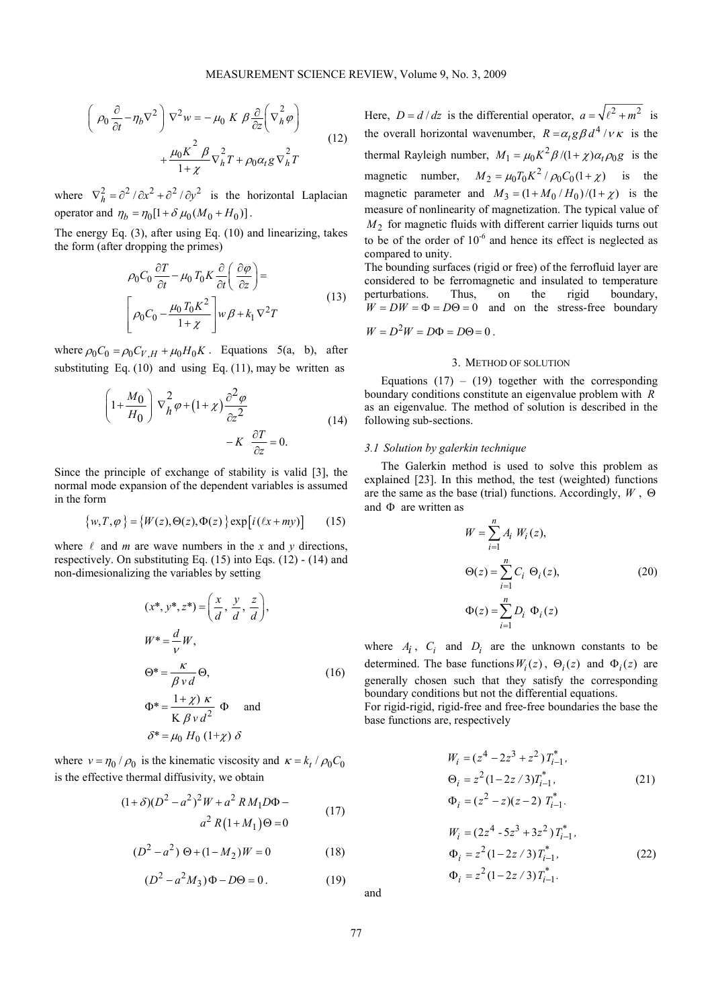$$
\left(\rho_0 \frac{\partial}{\partial t} - \eta_b \nabla^2\right) \nabla^2 w = -\mu_0 K \beta \frac{\partial}{\partial z} \left(\nabla_h^2 \varphi\right) + \frac{\mu_0 K^2 \beta}{1 + \chi} \nabla_h^2 T + \rho_0 \alpha_t g \nabla_h^2 T
$$
\n(12)

where  $\nabla_h^2 = \frac{\partial^2}{\partial x^2} + \frac{\partial^2}{\partial y^2}$  is the horizontal Laplacian operator and  $\eta_b = \eta_0 [1 + \delta \mu_0 (M_0 + H_0)]$ .

The energy Eq. (3), after using Eq. (10) and linearizing, takes the form (after dropping the primes)

$$
\rho_0 C_0 \frac{\partial T}{\partial t} - \mu_0 T_0 K \frac{\partial}{\partial t} \left( \frac{\partial \varphi}{\partial z} \right) =
$$
\n
$$
\left[ \rho_0 C_0 - \frac{\mu_0 T_0 K^2}{1 + \chi} \right] w \beta + k_1 \nabla^2 T
$$
\n(13)

where  $\rho_0 C_0 = \rho_0 C_{V,H} + \mu_0 H_0 K$ . Equations 5(a, b), after substituting Eq.  $(10)$  and using Eq.  $(11)$ , may be written as

$$
\left(1 + \frac{M_0}{H_0}\right) \nabla_h^2 \varphi + (1 + \chi) \frac{\partial^2 \varphi}{\partial z^2} - K \frac{\partial T}{\partial z} = 0.
$$
\n(14)

Since the principle of exchange of stability is valid [3], the normal mode expansion of the dependent variables is assumed in the form

$$
\{w, T, \varphi\} = \{W(z), \Theta(z), \Phi(z)\} \exp[i(\ell x + my)] \tag{15}
$$

where  $\ell$  and *m* are wave numbers in the *x* and *y* directions, respectively. On substituting Eq. (15) into Eqs. (12) - (14) and non-dimesionalizing the variables by setting

$$
(x^*, y^*, z^*) = \left(\frac{x}{d}, \frac{y}{d}, \frac{z}{d}\right),
$$
  
\n
$$
W^* = \frac{d}{\rho}W,
$$
  
\n
$$
\Theta^* = \frac{\kappa}{\beta v d} \Theta,
$$
  
\n
$$
\Phi^* = \frac{1 + \chi}{K \beta v d^2} \Phi \quad \text{and}
$$
  
\n
$$
\delta^* = \mu_0 H_0 (1 + \chi) \delta
$$

where  $v = \eta_0 / \rho_0$  is the kinematic viscosity and  $\kappa = k_t / \rho_0 C_0$ is the effective thermal diffusivity, we obtain

$$
(1+\delta)(D^{2}-a^{2})^{2}W + a^{2}RM_{1}D\Phi - a^{2}R(1+M_{1})\Theta = 0
$$
\n(17)

$$
(D2 – a2) \Theta + (1 – M2)W = 0
$$
 (18)

$$
(D2 - a2M3)\Phi - D\Theta = 0.
$$
 (19)

Here,  $D = d/dz$  is the differential operator,  $a = \sqrt{\ell^2 + m^2}$  is the overall horizontal wavenumber,  $R = \alpha_t g \beta d^4 / v \kappa$  is the thermal Rayleigh number,  $M_1 = \mu_0 K^2 \beta / (1 + \chi) \alpha_t \rho_0 g$  is the magnetic number,  $M_2 = \mu_0 T_0 K^2 / \rho_0 C_0 (1 + \chi)$  is the magnetic parameter and  $M_3 = (1 + M_0 / H_0) / (1 + \chi)$  is the measure of nonlinearity of magnetization. The typical value of  $M<sub>2</sub>$  for magnetic fluids with different carrier liquids turns out to be of the order of  $10^{-6}$  and hence its effect is neglected as compared to unity.

The bounding surfaces (rigid or free) of the ferrofluid layer are considered to be ferromagnetic and insulated to temperature perturbations. Thus, on the rigid boundary,  $W = DW = \Phi = D\Theta = 0$  and on the stress-free boundary

$$
W = D^2 W = D\Phi = D\Theta = 0.
$$

# 3. METHOD OF SOLUTION

Equations  $(17) - (19)$  together with the corresponding boundary conditions constitute an eigenvalue problem with *R* as an eigenvalue. The method of solution is described in the following sub-sections.

## *3.1 Solution by galerkin technique*

The Galerkin method is used to solve this problem as explained [23]. In this method, the test (weighted) functions are the same as the base (trial) functions. Accordingly, *W* , Θ and Φ are written as

$$
W = \sum_{i=1}^{n} A_i W_i(z),
$$
  
\n
$$
\Theta(z) = \sum_{i=1}^{n} C_i \Theta_i(z),
$$
  
\n
$$
\Phi(z) = \sum_{i=1}^{n} D_i \Phi_i(z)
$$
\n(20)

where  $A_i$ ,  $C_i$  and  $D_i$  are the unknown constants to be determined. The base functions  $W_i(z)$ ,  $\Theta_i(z)$  and  $\Phi_i(z)$  are generally chosen such that they satisfy the corresponding boundary conditions but not the differential equations.

For rigid-rigid, rigid-free and free-free boundaries the base the base functions are, respectively

$$
W_i = (z^4 - 2z^3 + z^2) T_{i-1}^*,
$$
  
\n
$$
\Theta_i = z^2 (1 - 2z/3) T_{i-1}^*,
$$
  
\n
$$
\Phi_i = (z^2 - z)(z - 2) T_{i-1}^*.
$$
  
\n
$$
W_i = (2z^4 - 5z^3 + 3z^2) T_{i-1}^*,
$$
  
\n
$$
\Phi_i = z^2 (1 - 2z/3) T_{i-1}^*,
$$
  
\n
$$
\Phi_i = z^2 (1 - 2z/3) T_{i-1}^*.
$$
  
\n(22)

and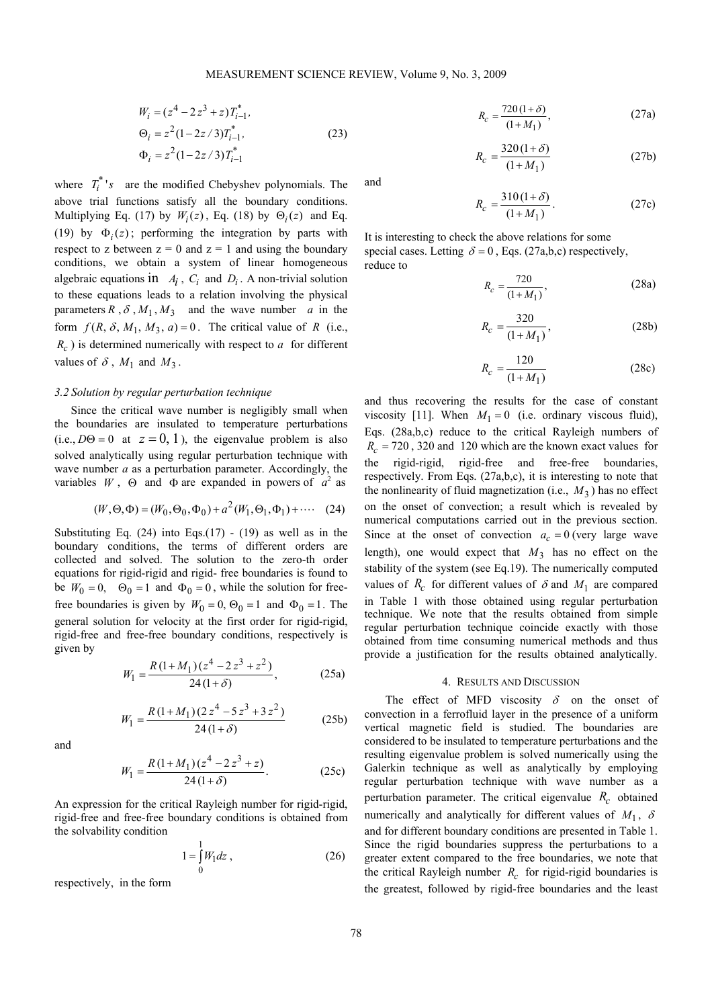$$
W_i = (z^4 - 2z^3 + z)T_{i-1}^*,
$$
  
\n
$$
\Theta_i = z^2 (1 - 2z/3)T_{i-1}^*,
$$
  
\n
$$
\Phi_i = z^2 (1 - 2z/3)T_{i-1}^*
$$
\n(23)

where  $T_i^*$ 's are the modified Chebyshev polynomials. The above trial functions satisfy all the boundary conditions. Multiplying Eq. (17) by  $W_i(z)$ , Eq. (18) by  $\Theta_i(z)$  and Eq. (19) by  $\Phi_i(z)$ ; performing the integration by parts with respect to z between  $z = 0$  and  $z = 1$  and using the boundary conditions, we obtain a system of linear homogeneous algebraic equations in  $A_i$ ,  $C_i$  and  $D_i$ . A non-trivial solution to these equations leads to a relation involving the physical parameters  $R$ ,  $\delta$ ,  $M_1$ ,  $M_3$  and the wave number *a* in the form  $f(R, \delta, M_1, M_3, a) = 0$ . The critical value of R (i.e.,  $R_c$ ) is determined numerically with respect to *a* for different values of  $\delta$ ,  $M_1$  and  $M_3$ .

#### *3.2 Solution by regular perturbation technique*

Since the critical wave number is negligibly small when the boundaries are insulated to temperature perturbations (i.e.,  $D\Theta = 0$  at  $z = 0, 1$ ), the eigenvalue problem is also solved analytically using regular perturbation technique with wave number *a* as a perturbation parameter. Accordingly, the variables  $W$ ,  $\Theta$  and  $\Phi$  are expanded in powers of  $a^2$  as

$$
(W, \Theta, \Phi) = (W_0, \Theta_0, \Phi_0) + a^2 (W_1, \Theta_1, \Phi_1) + \cdots (24)
$$

Substituting Eq.  $(24)$  into Eqs. $(17)$  -  $(19)$  as well as in the boundary conditions, the terms of different orders are collected and solved. The solution to the zero-th order equations for rigid-rigid and rigid- free boundaries is found to be  $W_0 = 0$ ,  $\Theta_0 = 1$  and  $\Phi_0 = 0$ , while the solution for freefree boundaries is given by  $W_0 = 0$ ,  $\Theta_0 = 1$  and  $\Phi_0 = 1$ . The general solution for velocity at the first order for rigid-rigid, rigid-free and free-free boundary conditions, respectively is given by

$$
W_1 = \frac{R\left(1 + M_1\right)\left(z^4 - 2\,z^3 + z^2\right)}{24\left(1 + \delta\right)},\tag{25a}
$$

$$
W_1 = \frac{R(1+M_1)(2z^4 - 5z^3 + 3z^2)}{24(1+\delta)}
$$
 (25b)

and

$$
W_1 = \frac{R(1+M_1)(z^4 - 2z^3 + z)}{24(1+\delta)}.
$$
 (25c)

An expression for the critical Rayleigh number for rigid-rigid, rigid-free and free-free boundary conditions is obtained from the solvability condition

$$
1 = \int_{0}^{1} W_1 dz
$$
, (26)

respectively, in the form

$$
R_c = \frac{720(1+\delta)}{(1+M_1)},
$$
 (27a)

$$
R_c = \frac{320(1+\delta)}{(1+M_1)}
$$
 (27b)

and

$$
R_c = \frac{310(1+\delta)}{(1+M_1)}.
$$
 (27c)

It is interesting to check the above relations for some special cases. Letting  $\delta = 0$ , Eqs. (27a,b,c) respectively, reduce to

$$
R_c = \frac{720}{(1 + M_1)},
$$
 (28a)

$$
R_c = \frac{320}{(1 + M_1)},
$$
 (28b)

$$
R_c = \frac{120}{(1 + M_1)}
$$
 (28c)

and thus recovering the results for the case of constant viscosity [11]. When  $M_1 = 0$  (i.e. ordinary viscous fluid), Eqs. (28a,b,c) reduce to the critical Rayleigh numbers of  $R_c = 720$ , 320 and 120 which are the known exact values for the rigid-rigid, rigid-free and free-free boundaries, respectively. From Eqs. (27a,b,c), it is interesting to note that the nonlinearity of fluid magnetization (i.e.,  $M_3$ ) has no effect on the onset of convection; a result which is revealed by numerical computations carried out in the previous section. Since at the onset of convection  $a_c = 0$  (very large wave length), one would expect that  $M_3$  has no effect on the stability of the system (see Eq.19). The numerically computed values of  $R_c$  for different values of  $\delta$  and  $M_1$  are compared in Table 1 with those obtained using regular perturbation technique. We note that the results obtained from simple regular perturbation technique coincide exactly with those obtained from time consuming numerical methods and thus provide a justification for the results obtained analytically.

## 4. RESULTS AND DISCUSSION

The effect of MFD viscosity  $\delta$  on the onset of convection in a ferrofluid layer in the presence of a uniform vertical magnetic field is studied. The boundaries are considered to be insulated to temperature perturbations and the resulting eigenvalue problem is solved numerically using the Galerkin technique as well as analytically by employing regular perturbation technique with wave number as a perturbation parameter. The critical eigenvalue  $R_c$  obtained numerically and analytically for different values of  $M_1$ ,  $\delta$ and for different boundary conditions are presented in Table 1. Since the rigid boundaries suppress the perturbations to a greater extent compared to the free boundaries, we note that the critical Rayleigh number  $R_c$  for rigid-rigid boundaries is the greatest, followed by rigid-free boundaries and the least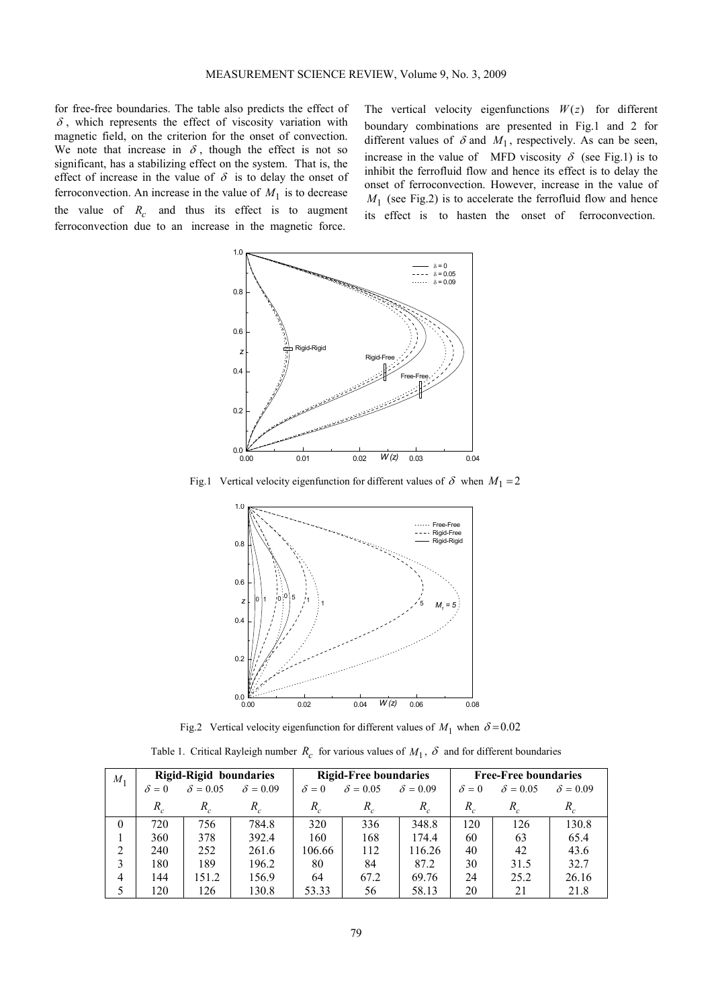for free-free boundaries. The table also predicts the effect of  $\delta$ , which represents the effect of viscosity variation with magnetic field, on the criterion for the onset of convection. We note that increase in  $\delta$ , though the effect is not so significant, has a stabilizing effect on the system. That is, the effect of increase in the value of  $\delta$  is to delay the onset of ferroconvection. An increase in the value of  $M_1$  is to decrease the value of  $R_c$  and thus its effect is to augment ferroconvection due to an increase in the magnetic force.

The vertical velocity eigenfunctions  $W(z)$  for different boundary combinations are presented in Fig.1 and 2 for different values of  $\delta$  and  $M_1$ , respectively. As can be seen, increase in the value of MFD viscosity  $\delta$  (see Fig.1) is to inhibit the ferrofluid flow and hence its effect is to delay the onset of ferroconvection. However, increase in the value of  $M_1$  (see Fig.2) is to accelerate the ferrofluid flow and hence its effect is to hasten the onset of ferroconvection.



Fig.1 Vertical velocity eigenfunction for different values of  $\delta$  when  $M_1 = 2$ 



Fig.2 Vertical velocity eigenfunction for different values of  $M_1$  when  $\delta = 0.02$ 

Table 1. Critical Rayleigh number  $R_c$  for various values of  $M_1$ ,  $\delta$  and for different boundaries

| $M_1$    | Rigid-Rigid boundaries |                 |                 | <b>Rigid-Free boundaries</b> |                 |                 | <b>Free-Free boundaries</b> |                            |                 |
|----------|------------------------|-----------------|-----------------|------------------------------|-----------------|-----------------|-----------------------------|----------------------------|-----------------|
|          | $\delta = 0$           | $\delta = 0.05$ | $\delta = 0.09$ | $\delta = 0$                 | $\delta = 0.05$ | $\delta = 0.09$ | $\delta = 0$                | $\delta = 0.05$            | $\delta = 0.09$ |
|          | $R_c$                  | R.              | $R_c$           | $R_c$                        | $R_c$           | $R_c$           | $R_c$                       | $R_{\scriptscriptstyle c}$ | $R_c$           |
| $\theta$ | 720                    | 756             | 784.8           | 320                          | 336             | 348.8           | 120                         | 126                        | 130.8           |
|          | 360                    | 378             | 392.4           | 160                          | 168             | 174.4           | 60                          | 63                         | 65.4            |
| 2        | 240                    | 252             | 261.6           | 106.66                       | 112             | 116.26          | 40                          | 42                         | 43.6            |
| 3        | 180                    | 189             | 196.2           | 80                           | 84              | 87.2            | 30                          | 31.5                       | 32.7            |
| 4        | 144                    | 151.2           | 156.9           | 64                           | 67.2            | 69.76           | 24                          | 25.2                       | 26.16           |
| 5        | 120                    | 126             | 130.8           | 53.33                        | 56              | 58.13           | 20                          | 21                         | 21.8            |